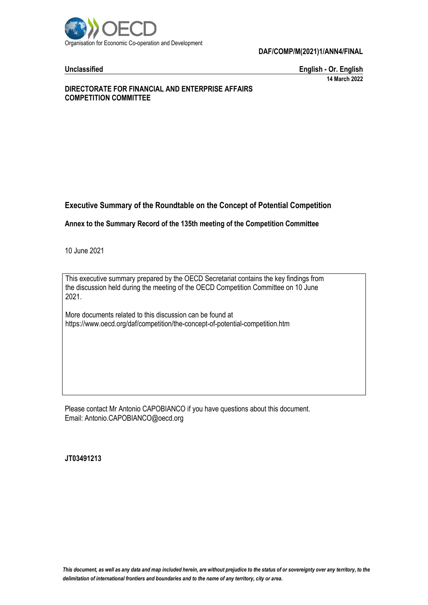

# **DAF/COMP/M(2021)1/ANN4/FINAL**

**Unclassified English - Or. English 14 March 2022**

# **DIRECTORATE FOR FINANCIAL AND ENTERPRISE AFFAIRS COMPETITION COMMITTEE**

# **Executive Summary of the Roundtable on the Concept of Potential Competition**

**Annex to the Summary Record of the 135th meeting of the Competition Committee**

10 June 2021

This executive summary prepared by the OECD Secretariat contains the key findings from the discussion held during the meeting of the OECD Competition Committee on 10 June 2021.

More documents related to this discussion can be found at https://www.oecd.org/daf/competition/the-concept-of-potential-competition.htm

Please contact Mr Antonio CAPOBIANCO if you have questions about this document. Email: Antonio.CAPOBIANCO@oecd.org

**JT03491213**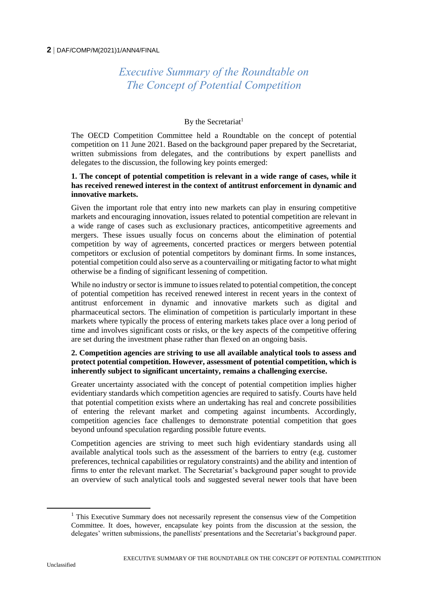### **2** DAF/COMP/M(2021)1/ANN4/FINAL

# *Executive Summary of the Roundtable on The Concept of Potential Competition*

# By the Secretariat<sup>1</sup>

The OECD Competition Committee held a Roundtable on the concept of potential competition on 11 June 2021. Based on the background paper prepared by the Secretariat, written submissions from delegates, and the contributions by expert panellists and delegates to the discussion, the following key points emerged:

# **1. The concept of potential competition is relevant in a wide range of cases, while it has received renewed interest in the context of antitrust enforcement in dynamic and innovative markets.**

Given the important role that entry into new markets can play in ensuring competitive markets and encouraging innovation, issues related to potential competition are relevant in a wide range of cases such as exclusionary practices, anticompetitive agreements and mergers. These issues usually focus on concerns about the elimination of potential competition by way of agreements, concerted practices or mergers between potential competitors or exclusion of potential competitors by dominant firms. In some instances, potential competition could also serve as a countervailing or mitigating factor to what might otherwise be a finding of significant lessening of competition.

While no industry or sector is immune to issues related to potential competition, the concept of potential competition has received renewed interest in recent years in the context of antitrust enforcement in dynamic and innovative markets such as digital and pharmaceutical sectors. The elimination of competition is particularly important in these markets where typically the process of entering markets takes place over a long period of time and involves significant costs or risks, or the key aspects of the competitive offering are set during the investment phase rather than flexed on an ongoing basis.

# **2. Competition agencies are striving to use all available analytical tools to assess and protect potential competition. However, assessment of potential competition, which is inherently subject to significant uncertainty, remains a challenging exercise.**

Greater uncertainty associated with the concept of potential competition implies higher evidentiary standards which competition agencies are required to satisfy. Courts have held that potential competition exists where an undertaking has real and concrete possibilities of entering the relevant market and competing against incumbents. Accordingly, competition agencies face challenges to demonstrate potential competition that goes beyond unfound speculation regarding possible future events.

Competition agencies are striving to meet such high evidentiary standards using all available analytical tools such as the assessment of the barriers to entry (e.g. customer preferences, technical capabilities or regulatory constraints) and the ability and intention of firms to enter the relevant market. The Secretariat's background paper sought to provide an overview of such analytical tools and suggested several newer tools that have been

 $\overline{a}$ 

 $<sup>1</sup>$  This Executive Summary does not necessarily represent the consensus view of the Competition</sup> Committee. It does, however, encapsulate key points from the discussion at the session, the delegates' written submissions, the panellists' presentations and the Secretariat's background paper.